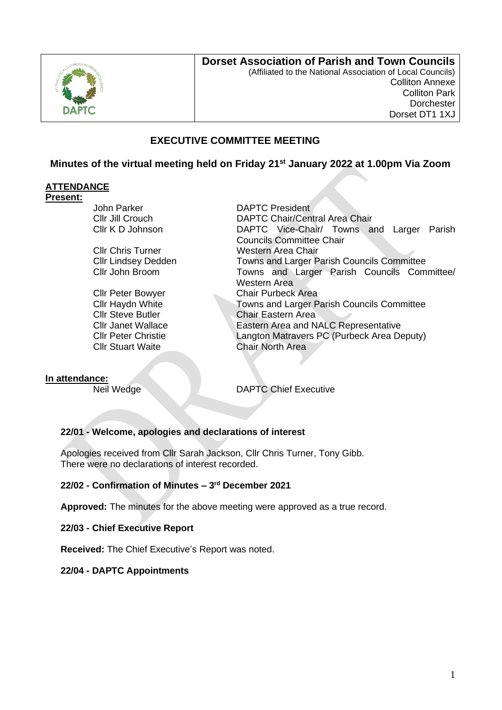

## **Dorset Association of Parish and Town Councils**

(Affiliated to the National Association of Local Councils) Colliton Annexe Colliton Park **Dorchester** Dorset DT1 1XJ

# **EXECUTIVE COMMITTEE MEETING**

## **Minutes of the virtual meeting held on Friday 21st January 2022 at 1.00pm Via Zoom**

## **ATTENDANCE**

#### **Present:**

John Parker **DAPTC** President

Cllr Stuart Waite Chair North Area

Cllr Jill Crouch DAPTC Chair/Central Area Chair Cllr K D Johnson DAPTC Vice-Chair/ Towns and Larger Parish Councils Committee Chair Cllr Chris Turner Western Area Chair Cllr Lindsey Dedden Towns and Larger Parish Councils Committee Cllr John Broom Towns and Larger Parish Councils Committee/ Western Area Cllr Peter Bowyer Chair Purbeck Area Cllr Haydn White Towns and Larger Parish Councils Committee **Cllr Steve Butler Chair Eastern Area** Cllr Janet Wallace **Eastern Area and NALC Representative** Cllr Peter Christie Langton Matravers PC (Purbeck Area Deputy)

#### **In attendance:**

**Neil Wedge Chief Executive** 

## **22/01 - Welcome, apologies and declarations of interest**

Apologies received from Cllr Sarah Jackson, Cllr Chris Turner, Tony Gibb. There were no declarations of interest recorded.

## **22/02 - Confirmation of Minutes – 3 rd December 2021**

**Approved:** The minutes for the above meeting were approved as a true record.

**22/03 - Chief Executive Report**

**Received:** The Chief Executive's Report was noted.

## **22/04 - DAPTC Appointments**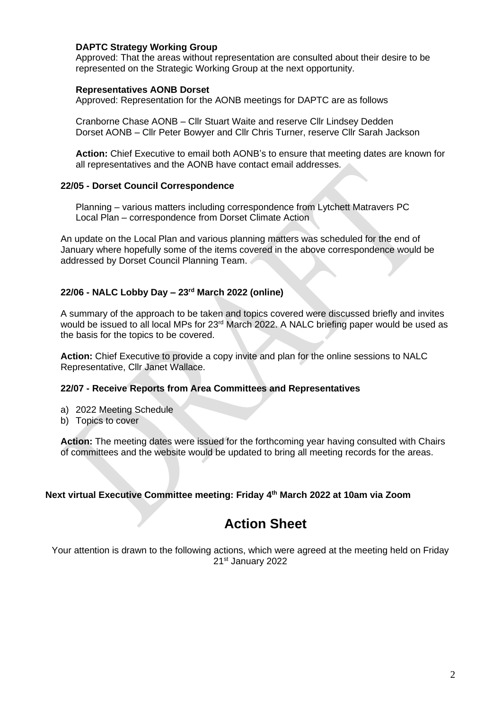## **DAPTC Strategy Working Group**

Approved: That the areas without representation are consulted about their desire to be represented on the Strategic Working Group at the next opportunity.

#### **Representatives AONB Dorset**

Approved: Representation for the AONB meetings for DAPTC are as follows

Cranborne Chase AONB – Cllr Stuart Waite and reserve Cllr Lindsey Dedden Dorset AONB – Cllr Peter Bowyer and Cllr Chris Turner, reserve Cllr Sarah Jackson

**Action:** Chief Executive to email both AONB's to ensure that meeting dates are known for all representatives and the AONB have contact email addresses.

## **22/05 - Dorset Council Correspondence**

Planning – various matters including correspondence from Lytchett Matravers PC Local Plan – correspondence from Dorset Climate Action

An update on the Local Plan and various planning matters was scheduled for the end of January where hopefully some of the items covered in the above correspondence would be addressed by Dorset Council Planning Team.

## **22/06 - NALC Lobby Day – 23rd March 2022 (online)**

A summary of the approach to be taken and topics covered were discussed briefly and invites would be issued to all local MPs for 23rd March 2022. A NALC briefing paper would be used as the basis for the topics to be covered.

**Action:** Chief Executive to provide a copy invite and plan for the online sessions to NALC Representative, Cllr Janet Wallace.

## **22/07 - Receive Reports from Area Committees and Representatives**

- a) 2022 Meeting Schedule
- b) Topics to cover

**Action:** The meeting dates were issued for the forthcoming year having consulted with Chairs of committees and the website would be updated to bring all meeting records for the areas.

## **Next virtual Executive Committee meeting: Friday 4 th March 2022 at 10am via Zoom**

# **Action Sheet**

Your attention is drawn to the following actions, which were agreed at the meeting held on Friday 21st January 2022